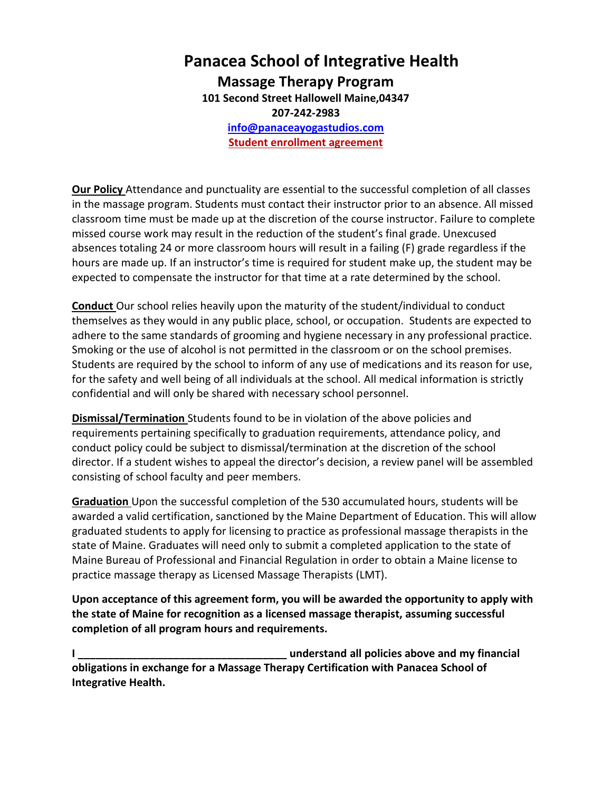## **Panacea School of Integrative Health Massage Therapy Program 101 Second Street Hallowell Maine,04347 207-242-2983 [info@panaceayogastudios.com](mailto:info@panaceayogastudios.com) Student enrollment agreement**

**Our Policy** Attendance and punctuality are essential to the successful completion of all classes in the massage program. Students must contact their instructor prior to an absence. All missed classroom time must be made up at the discretion of the course instructor. Failure to complete missed course work may result in the reduction of the student's final grade. Unexcused absences totaling 24 or more classroom hours will result in a failing (F) grade regardless if the hours are made up. If an instructor's time is required for student make up, the student may be expected to compensate the instructor for that time at a rate determined by the school.

**Conduct** Our school relies heavily upon the maturity of the student/individual to conduct themselves as they would in any public place, school, or occupation. Students are expected to adhere to the same standards of grooming and hygiene necessary in any professional practice. Smoking or the use of alcohol is not permitted in the classroom or on the school premises. Students are required by the school to inform of any use of medications and its reason for use, for the safety and well being of all individuals at the school. All medical information is strictly confidential and will only be shared with necessary school personnel.

**Dismissal/Termination** Students found to be in violation of the above policies and requirements pertaining specifically to graduation requirements, attendance policy, and conduct policy could be subject to dismissal/termination at the discretion of the school director. If a student wishes to appeal the director's decision, a review panel will be assembled consisting of school faculty and peer members.

**Graduation** Upon the successful completion of the 530 accumulated hours, students will be awarded a valid certification, sanctioned by the Maine Department of Education. This will allow graduated students to apply for licensing to practice as professional massage therapists in the state of Maine. Graduates will need only to submit a completed application to the state of Maine Bureau of Professional and Financial Regulation in order to obtain a Maine license to practice massage therapy as Licensed Massage Therapists (LMT).

**Upon acceptance of this agreement form, you will be awarded the opportunity to apply with the state of Maine for recognition as a licensed massage therapist, assuming successful completion of all program hours and requirements.**

**I \_\_\_\_\_\_\_\_\_\_\_\_\_\_\_\_\_\_\_\_\_\_\_\_\_\_\_\_\_\_\_\_\_\_\_ understand all policies above and my financial obligations in exchange for a Massage Therapy Certification with Panacea School of Integrative Health.**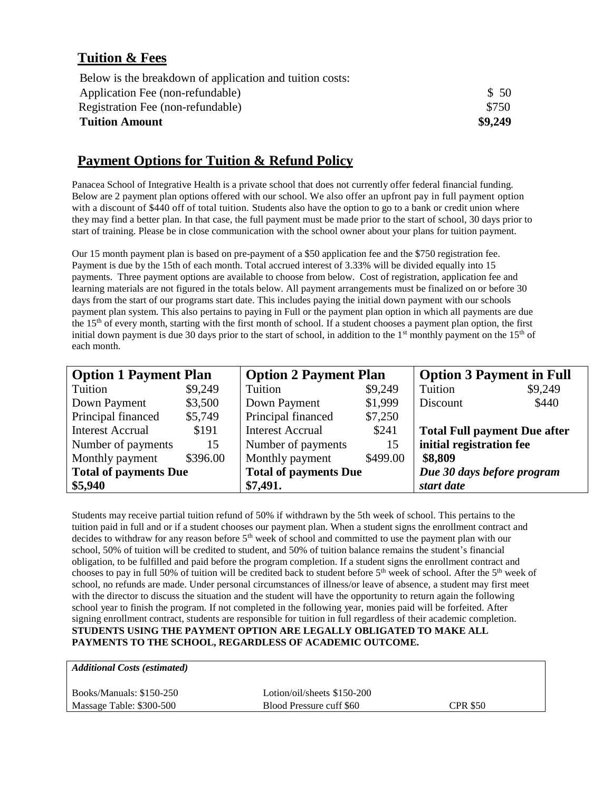## **Tuition & Fees**

| <b>Tuition Amount</b>                                    | \$9,249 |
|----------------------------------------------------------|---------|
| Registration Fee (non-refundable)                        | \$750   |
| Application Fee (non-refundable)                         | \$50    |
| Below is the breakdown of application and tuition costs: |         |

## **Payment Options for Tuition & Refund Policy**

Panacea School of Integrative Health is a private school that does not currently offer federal financial funding. Below are 2 payment plan options offered with our school. We also offer an upfront pay in full payment option with a discount of \$440 off of total tuition. Students also have the option to go to a bank or credit union where they may find a better plan. In that case, the full payment must be made prior to the start of school, 30 days prior to start of training. Please be in close communication with the school owner about your plans for tuition payment.

Our 15 month payment plan is based on pre-payment of a \$50 application fee and the \$750 registration fee. Payment is due by the 15th of each month. Total accrued interest of 3.33% will be divided equally into 15 payments. Three payment options are available to choose from below. Cost of registration, application fee and learning materials are not figured in the totals below. All payment arrangements must be finalized on or before 30 days from the start of our programs start date. This includes paying the initial down payment with our schools payment plan system. This also pertains to paying in Full or the payment plan option in which all payments are due the 15<sup>th</sup> of every month, starting with the first month of school. If a student chooses a payment plan option, the first initial down payment is due 30 days prior to the start of school, in addition to the  $1<sup>st</sup>$  monthly payment on the  $15<sup>th</sup>$  of each month.

| <b>Option 1 Payment Plan</b> |          | <b>Option 2 Payment Plan</b> |          | <b>Option 3 Payment in Full</b>     |         |
|------------------------------|----------|------------------------------|----------|-------------------------------------|---------|
| Tuition                      | \$9,249  | Tuition                      | \$9,249  | Tuition                             | \$9,249 |
| Down Payment                 | \$3,500  | Down Payment                 | \$1,999  | Discount                            | \$440   |
| Principal financed           | \$5,749  | Principal financed           | \$7,250  |                                     |         |
| <b>Interest Accrual</b>      | \$191    | <b>Interest Accrual</b>      | \$241    | <b>Total Full payment Due after</b> |         |
| Number of payments           | 15       | Number of payments           | 15       | initial registration fee            |         |
| Monthly payment              | \$396.00 | Monthly payment              | \$499.00 | \$8,809                             |         |
| <b>Total of payments Due</b> |          | <b>Total of payments Due</b> |          | Due 30 days before program          |         |
| \$5,940                      |          | \$7,491.                     |          | start date                          |         |

Students may receive partial tuition refund of 50% if withdrawn by the 5th week of school. This pertains to the tuition paid in full and or if a student chooses our payment plan. When a student signs the enrollment contract and decides to withdraw for any reason before 5<sup>th</sup> week of school and committed to use the payment plan with our school, 50% of tuition will be credited to student, and 50% of tuition balance remains the student's financial obligation, to be fulfilled and paid before the program completion. If a student signs the enrollment contract and chooses to pay in full 50% of tuition will be credited back to student before  $5<sup>th</sup>$  week of school. After the  $5<sup>th</sup>$  week of school, no refunds are made. Under personal circumstances of illness/or leave of absence, a student may first meet with the director to discuss the situation and the student will have the opportunity to return again the following school year to finish the program. If not completed in the following year, monies paid will be forfeited. After signing enrollment contract, students are responsible for tuition in full regardless of their academic completion. **STUDENTS USING THE PAYMENT OPTION ARE LEGALLY OBLIGATED TO MAKE ALL PAYMENTS TO THE SCHOOL, REGARDLESS OF ACADEMIC OUTCOME.**

| <b>Additional Costs (estimated)</b> |                             |                 |  |
|-------------------------------------|-----------------------------|-----------------|--|
| Books/Manuals: \$150-250            | Lotion/oil/sheets \$150-200 |                 |  |
| Massage Table: \$300-500            | Blood Pressure cuff \$60    | <b>CPR \$50</b> |  |
|                                     |                             |                 |  |